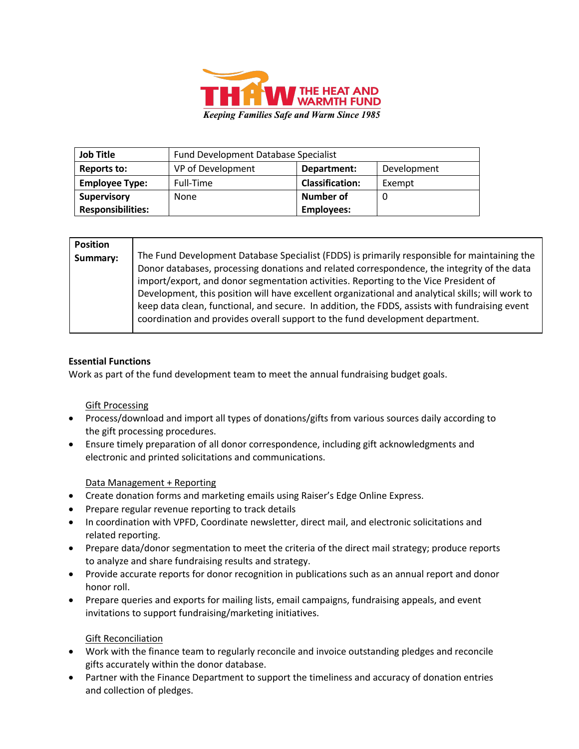

| <b>Job Title</b>         | <b>Fund Development Database Specialist</b> |                        |             |
|--------------------------|---------------------------------------------|------------------------|-------------|
| <b>Reports to:</b>       | VP of Development                           | Department:            | Development |
| <b>Employee Type:</b>    | Full-Time                                   | <b>Classification:</b> | Exempt      |
| <b>Supervisory</b>       | None                                        | <b>Number of</b>       |             |
| <b>Responsibilities:</b> |                                             | <b>Employees:</b>      |             |

| <b>Position</b> |                                                                                                   |
|-----------------|---------------------------------------------------------------------------------------------------|
| Summary:        | The Fund Development Database Specialist (FDDS) is primarily responsible for maintaining the      |
|                 | Donor databases, processing donations and related correspondence, the integrity of the data       |
|                 | import/export, and donor segmentation activities. Reporting to the Vice President of              |
|                 | Development, this position will have excellent organizational and analytical skills; will work to |
|                 | keep data clean, functional, and secure. In addition, the FDDS, assists with fundraising event    |
|                 | coordination and provides overall support to the fund development department.                     |
|                 |                                                                                                   |

## **Essential Functions**

Work as part of the fund development team to meet the annual fundraising budget goals.

## Gift Processing

- Process/download and import all types of donations/gifts from various sources daily according to the gift processing procedures.
- Ensure timely preparation of all donor correspondence, including gift acknowledgments and electronic and printed solicitations and communications.

## Data Management + Reporting

- Create donation forms and marketing emails using Raiser's Edge Online Express.
- Prepare regular revenue reporting to track details
- In coordination with VPFD, Coordinate newsletter, direct mail, and electronic solicitations and related reporting.
- Prepare data/donor segmentation to meet the criteria of the direct mail strategy; produce reports to analyze and share fundraising results and strategy.
- Provide accurate reports for donor recognition in publications such as an annual report and donor honor roll.
- Prepare queries and exports for mailing lists, email campaigns, fundraising appeals, and event invitations to support fundraising/marketing initiatives.

## Gift Reconciliation

- Work with the finance team to regularly reconcile and invoice outstanding pledges and reconcile gifts accurately within the donor database.
- Partner with the Finance Department to support the timeliness and accuracy of donation entries and collection of pledges.